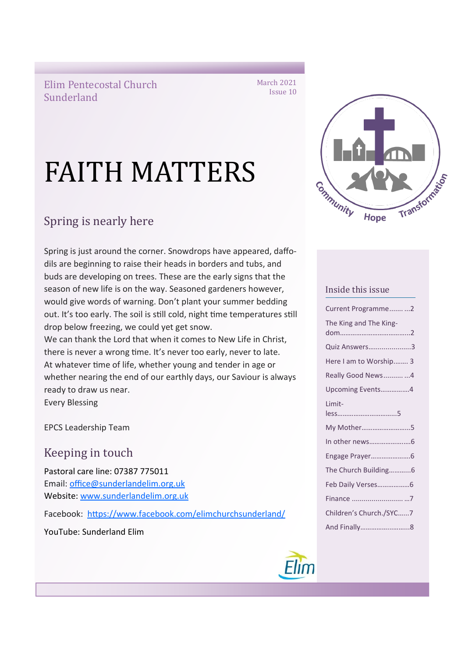Elim Pentecostal Church Sunderland

March 2021 Issue 10

# FAITH MATTERS

# Spring is nearly here

Spring is just around the corner. Snowdrops have appeared, daffodils are beginning to raise their heads in borders and tubs, and buds are developing on trees. These are the early signs that the season of new life is on the way. Seasoned gardeners however, would give words of warning. Don't plant your summer bedding out. It's too early. The soil is still cold, night time temperatures still drop below freezing, we could yet get snow.

We can thank the Lord that when it comes to New Life in Christ, there is never a wrong time. It's never too early, never to late. At whatever time of life, whether young and tender in age or whether nearing the end of our earthly days, our Saviour is always ready to draw us near.

Every Blessing

EPCS Leadership Team

# Keeping in touch

Pastoral care line: 07387 775011 Email: [office@sunderlandelim.org.uk](about:blank) Website: [www.sunderlandelim.org.uk](http://www.sunderlandelim.org.uk)

Facebook: [https://www.facebook.com/elimchurchsunderland/](about:blank)

YouTube: Sunderland Elim





### Inside this issue

| Current Programme  2    |
|-------------------------|
| The King and The King-  |
| Quiz Answers3           |
| Here I am to Worship 3  |
| Really Good News4       |
| Upcoming Events4        |
| Limit-                  |
| My Mother5              |
|                         |
|                         |
| The Church Building6    |
|                         |
|                         |
|                         |
| Children's Church./SYC7 |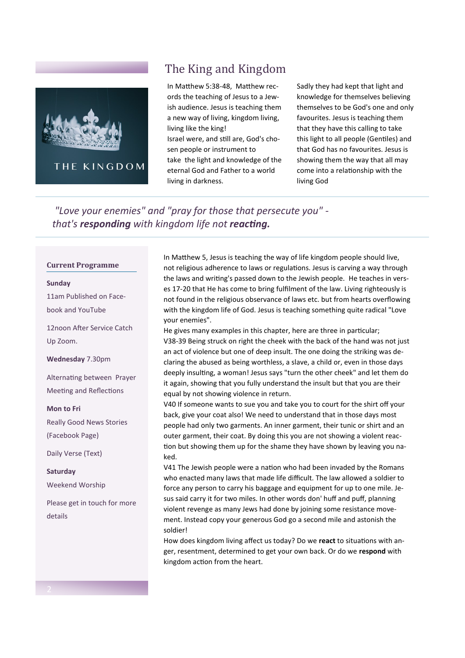

# The King and Kingdom

In Matthew 5:38-48, Matthew records the teaching of Jesus to a Jewish audience. Jesus is teaching them a new way of living, kingdom living, living like the king! Israel were, and still are, God's chosen people or instrument to take the light and knowledge of the eternal God and Father to a world living in darkness.

Sadly they had kept that light and knowledge for themselves believing themselves to be God's one and only favourites. Jesus is teaching them that they have this calling to take this light to all people (Gentiles) and that God has no favourites. Jesus is showing them the way that all may come into a relationship with the living God

*"Love your enemies" and "pray for those that persecute you" that's responding with kingdom life not reacting.*

#### **Current Programme**

#### **Sunday**

11am Published on Facebook and YouTube

12noon After Service Catch Up Zoom.

**Wednesday** 7.30pm

Alternating between Prayer Meeting and Reflections

#### **Mon to Fri**

Really Good News Stories (Facebook Page)

Daily Verse (Text)

**Saturday**  Weekend Worship

Please get in touch for more details

In Matthew 5, Jesus is teaching the way of life kingdom people should live, not religious adherence to laws or regulations. Jesus is carving a way through the laws and writing's passed down to the Jewish people. He teaches in verses 17-20 that He has come to bring fulfilment of the law. Living righteously is not found in the religious observance of laws etc. but from hearts overflowing with the kingdom life of God. Jesus is teaching something quite radical "Love your enemies".

He gives many examples in this chapter, here are three in particular; V38-39 Being struck on right the cheek with the back of the hand was not just an act of violence but one of deep insult. The one doing the striking was declaring the abused as being worthless, a slave, a child or, even in those days deeply insulting, a woman! Jesus says "turn the other cheek" and let them do it again, showing that you fully understand the insult but that you are their equal by not showing violence in return.

V40 If someone wants to sue you and take you to court for the shirt off your back, give your coat also! We need to understand that in those days most people had only two garments. An inner garment, their tunic or shirt and an outer garment, their coat. By doing this you are not showing a violent reaction but showing them up for the shame they have shown by leaving you naked.

V41 The Jewish people were a nation who had been invaded by the Romans who enacted many laws that made life difficult. The law allowed a soldier to force any person to carry his baggage and equipment for up to one mile. Jesus said carry it for two miles. In other words don' huff and puff, planning violent revenge as many Jews had done by joining some resistance movement. Instead copy your generous God go a second mile and astonish the soldier!

How does kingdom living affect us today? Do we **react** to situations with anger, resentment, determined to get your own back. Or do we **respond** with kingdom action from the heart.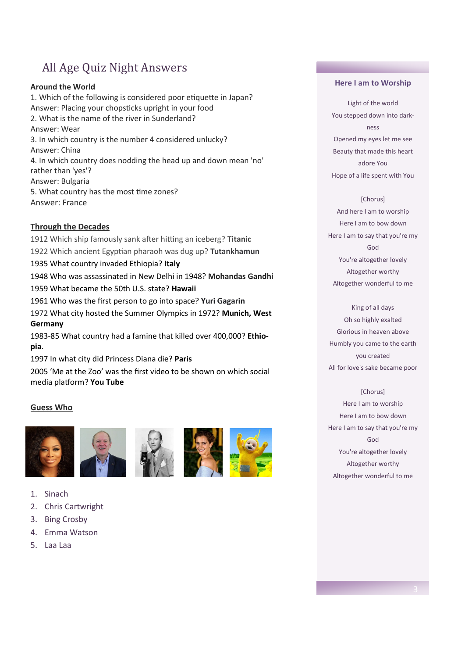# All Age Quiz Night Answers

### **Around the World**

1. Which of the following is considered poor etiquette in Japan? Answer: Placing your chopsticks upright in your food 2. What is the name of the river in Sunderland? Answer: Wear 3. In which country is the number 4 considered unlucky? Answer: China 4. In which country does nodding the head up and down mean 'no' rather than 'yes'? Answer: Bulgaria 5. What country has the most time zones? Answer: France

### **Through the Decades**

1912 Which ship famously sank after hitting an iceberg? **Titanic** 1922 Which ancient Egyptian pharaoh was dug up? **Tutankhamun** 1935 What country invaded Ethiopia? **Italy** 1948 Who was assassinated in New Delhi in 1948? **Mohandas Gandhi** 1959 What became the 50th U.S. state? **Hawaii** 1961 Who was the first person to go into space? **Yuri Gagarin** 1972 What city hosted the Summer Olympics in 1972? **Munich, West Germany** 1983-85 What country had a famine that killed over 400,000? **Ethiopia**.

1997 In what city did Princess Diana die? **Paris** 2005 'Me at the Zoo' was the first video to be shown on which social media platform? **You Tube** 

### **Guess Who**



- 1. Sinach
- 2. Chris Cartwright
- 3. Bing Crosby
- 4. Emma Watson
- 5. Laa Laa

#### **Here I am to Worship**

Light of the world You stepped down into darkness Opened my eyes let me see Beauty that made this heart adore You Hope of a life spent with You

#### [Chorus]

And here I am to worship Here I am to bow down Here I am to say that you're my God You're altogether lovely Altogether worthy Altogether wonderful to me

King of all days Oh so highly exalted Glorious in heaven above [Humbly you came to the earth](https://genius.com/Chris-tomlin-here-i-am-to-worship-lyrics#note-4890915)  [you created](https://genius.com/Chris-tomlin-here-i-am-to-worship-lyrics#note-4890915) [All for love's sake became poor](https://genius.com/Chris-tomlin-here-i-am-to-worship-lyrics#note-4890915)

#### [Chorus]

Here I am to worship Here I am to bow down Here I am to say that you're my God You're altogether lovely Altogether worthy Altogether wonderful to me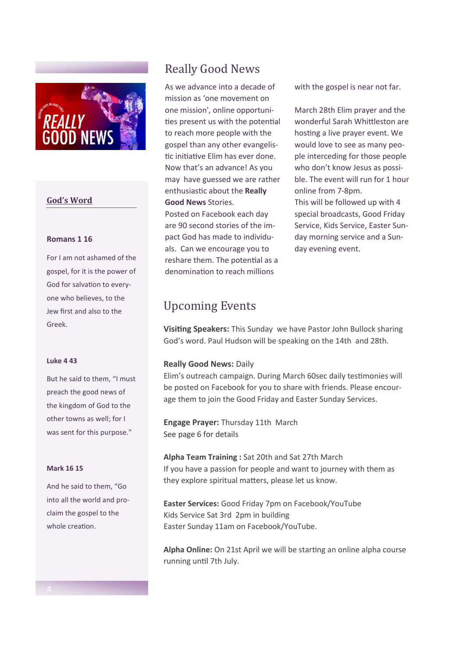

### **God's Word**

#### **Romans 1 16**

For I am not ashamed of the gospel, for it is the power of God for salvation to everyone who believes, to the Jew first and also to the Greek.

#### **Luke 4 43**

But he said to them, "I must preach the good news of the kingdom of God to the other towns as well; for I was sent for this purpose."

#### **Mark 16 15**

And he said to them, "Go into all the world and proclaim the gospel to the whole creation.

# Really Good News

As we advance into a decade of mission as 'one movement on one mission', online opportunities present us with the potential to reach more people with the gospel than any other evangelistic initiative Elim has ever done. Now that's an advance! As you may have guessed we are rather enthusiastic about the **Really Good News** Stories. Posted on Facebook each day are 90 second stories of the impact God has made to individuals. Can we encourage you to reshare them. The potential as a denomination to reach millions

with the gospel is near not far.

March 28th Elim prayer and the wonderful Sarah Whittleston are hosting a live prayer event. We would love to see as many people interceding for those people who don't know Jesus as possible. The event will run for 1 hour online from 7-8pm. This will be followed up with 4 special broadcasts, Good Friday Service, Kids Service, Easter Sunday morning service and a Sunday evening event.

# Upcoming Events

**Visiting Speakers:** This Sunday we have Pastor John Bullock sharing God's word. Paul Hudson will be speaking on the 14th and 28th.

#### **Really Good News:** Daily

Elim's outreach campaign. During March 60sec daily testimonies will be posted on Facebook for you to share with friends. Please encourage them to join the Good Friday and Easter Sunday Services.

**Engage Prayer:** Thursday 11th March See page 6 for details

**Alpha Team Training :** Sat 20th and Sat 27th March If you have a passion for people and want to journey with them as they explore spiritual matters, please let us know.

**Easter Services:** Good Friday 7pm on Facebook/YouTube Kids Service Sat 3rd 2pm in building Easter Sunday 11am on Facebook/YouTube.

**Alpha Online:** On 21st April we will be starting an online alpha course running until 7th July.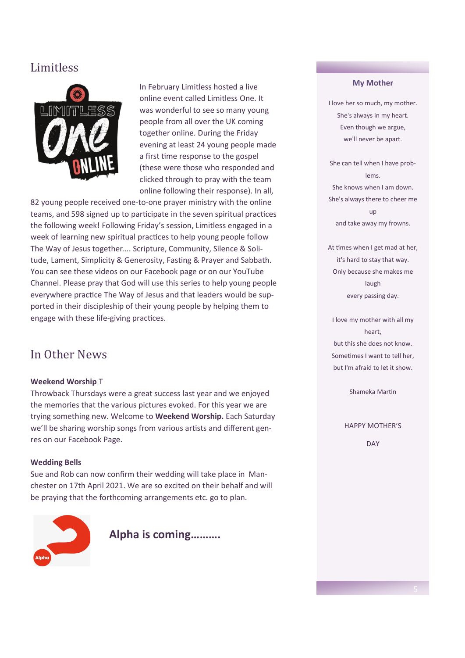# Limitless



In February Limitless hosted a live online event called Limitless One. It was wonderful to see so many young people from all over the UK coming together online. During the Friday evening at least 24 young people made a first time response to the gospel (these were those who responded and clicked through to pray with the team online following their response). In all,

82 young people received one-to-one prayer ministry with the online teams, and 598 signed up to participate in the seven spiritual practices the following week! Following Friday's session, Limitless engaged in a week of learning new spiritual practices to help young people follow The Way of Jesus together…. Scripture, Community, Silence & Solitude, Lament, Simplicity & Generosity, Fasting & Prayer and Sabbath. You can see these videos on our Facebook page or on our YouTube Channel. Please pray that God will use this series to help young people everywhere practice The Way of Jesus and that leaders would be supported in their discipleship of their young people by helping them to engage with these life-giving practices.

# In Other News

### **Weekend Worship** T

Throwback Thursdays were a great success last year and we enjoyed the memories that the various pictures evoked. For this year we are trying something new. Welcome to **Weekend Worship.** Each Saturday we'll be sharing worship songs from various artists and different genres on our Facebook Page.

#### **Wedding Bells**

Sue and Rob can now confirm their wedding will take place in Manchester on 17th April 2021. We are so excited on their behalf and will be praying that the forthcoming arrangements etc. go to plan.





#### **My Mother**

I love her so much, my mother. She's always in my heart. Even though we argue, we'll never be apart.

She can tell when I have problems. She knows when I am down. She's always there to cheer me up and take away my frowns.

At times when I get mad at her, it's hard to stay that way. Only because she makes me laugh every passing day.

I love my mother with all my heart, but this she does not know. Sometimes I want to tell her, but I'm afraid to let it show.

Shameka Martin

HAPPY MOTHER'S

DAY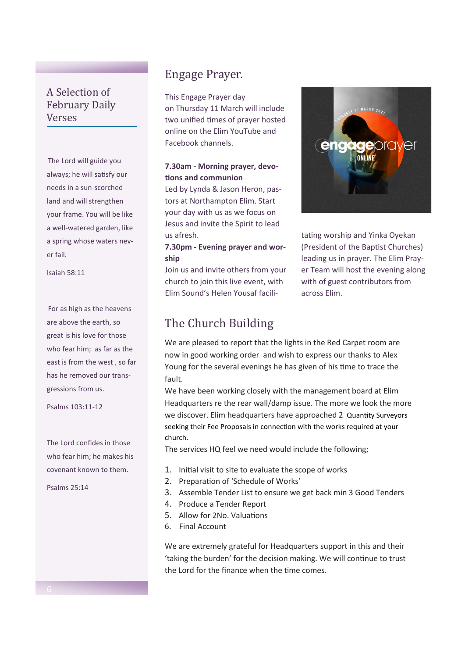### A Selection of February Daily Verses

The Lord will guide you always; he will satisfy our needs in a sun-scorched land and will strengthen your frame. You will be like a well-watered garden, like a spring whose waters never fail.

Isaiah 58:11

For as high as the heavens are above the earth, so great is his love for those who fear him; as far as the east is from the west , so far has he removed our transgressions from us.

Psalms 103:11-12

The Lord confides in those who fear him; he makes his covenant known to them.

Psalms 25:14

### Engage Prayer.

This Engage Prayer day on Thursday 11 March will include two unified times of prayer hosted online on the Elim YouTube and Facebook channels.

### **7.30am - Morning prayer, devotions and communion**

Led by Lynda & Jason Heron, pastors at Northampton Elim. Start your day with us as we focus on Jesus and invite the Spirit to lead us afresh.

### **7.30pm - Evening prayer and worship**

Join us and invite others from your church to join this live event, with Elim Sound's Helen Yousaf facili-



tating worship and Yinka Oyekan (President of the Baptist Churches) leading us in prayer. The Elim Prayer Team will host the evening along with of guest contributors from across Elim.

# The Church Building

We are pleased to report that the lights in the Red Carpet room are now in good working order and wish to express our thanks to Alex Young for the several evenings he has given of his time to trace the fault.

We have been working closely with the management board at Elim Headquarters re the rear wall/damp issue. The more we look the more we discover. Elim headquarters have approached 2 Quantity Surveyors seeking their Fee Proposals in connection with the works required at your church.

The services HQ feel we need would include the following;

- 1. Initial visit to site to evaluate the scope of works
- 2. Preparation of 'Schedule of Works'
- 3. Assemble Tender List to ensure we get back min 3 Good Tenders
- 4. Produce a Tender Report
- 5. Allow for 2No. Valuations
- 6. Final Account

We are extremely grateful for Headquarters support in this and their 'taking the burden' for the decision making. We will continue to trust the Lord for the finance when the time comes.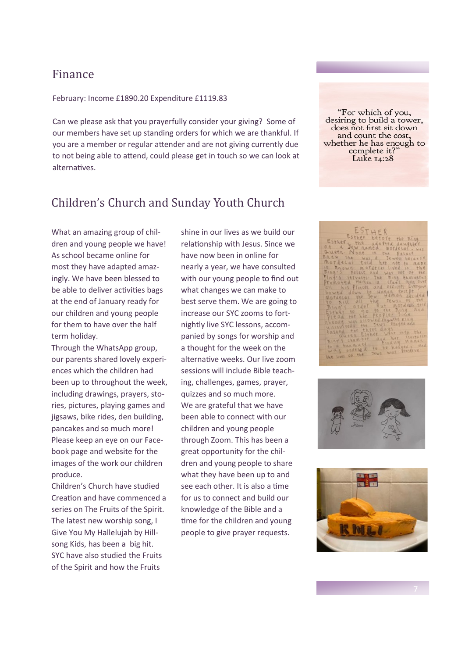# Finance

#### February: Income £1890.20 Expenditure £1119.83

Can we please ask that you prayerfully consider your giving? Some of our members have set up standing orders for which we are thankful. If you are a member or regular attender and are not giving currently due to not being able to attend, could please get in touch so we can look at alternatives.

### Children's Church and Sunday Youth Church

What an amazing group of children and young people we have! As school became online for most they have adapted amazingly. We have been blessed to be able to deliver activities bags at the end of January ready for our children and young people for them to have over the half term holiday.

Through the WhatsApp group, our parents shared lovely experiences which the children had been up to throughout the week, including drawings, prayers, stories, pictures, playing games and jigsaws, bike rides, den building, pancakes and so much more! Please keep an eye on our Facebook page and website for the images of the work our children produce.

Children's Church have studied Creation and have commenced a series on The Fruits of the Spirit. The latest new worship song, I Give You My Hallelujah by Hillsong Kids, has been a big hit. SYC have also studied the Fruits of the Spirit and how the Fruits

shine in our lives as we build our relationship with Jesus. Since we have now been in online for nearly a year, we have consulted with our young people to find out what changes we can make to best serve them. We are going to increase our SYC zooms to fortnightly live SYC lessons, accompanied by songs for worship and a thought for the week on the alternative weeks. Our live zoom sessions will include Bible teaching, challenges, games, prayer, quizzes and so much more. We are grateful that we have been able to connect with our children and young people through Zoom. This has been a great opportunity for the children and young people to share what they have been up to and see each other. It is also a time for us to connect and build our knowledge of the Bible and a time for the children and young people to give prayer requests.